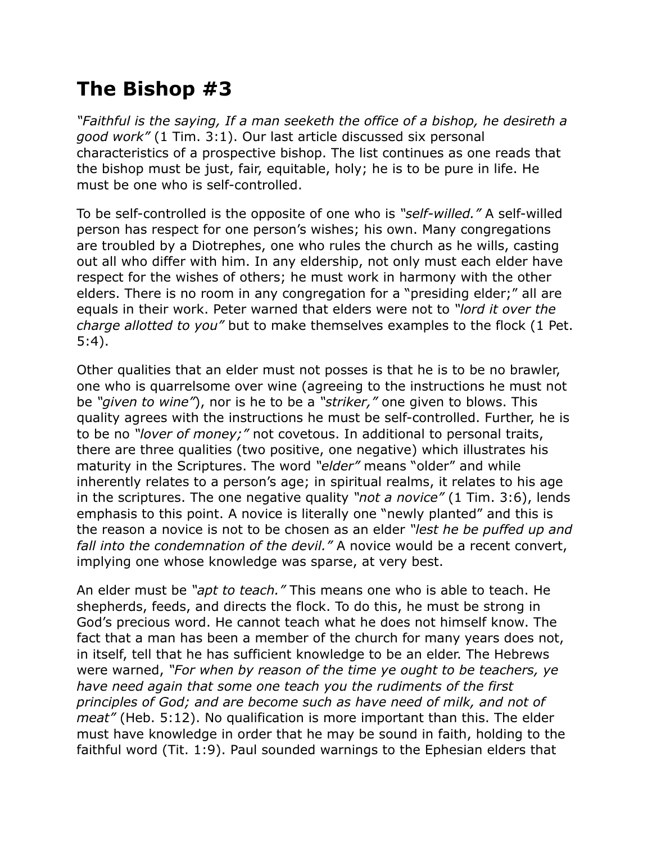## **The Bishop #3**

*"Faithful is the saying, If a man seeketh the office of a bishop, he desireth a good work"* (1 Tim. 3:1). Our last article discussed six personal characteristics of a prospective bishop. The list continues as one reads that the bishop must be just, fair, equitable, holy; he is to be pure in life. He must be one who is self-controlled.

To be self-controlled is the opposite of one who is *"self-willed."* A self-willed person has respect for one person's wishes; his own. Many congregations are troubled by a Diotrephes, one who rules the church as he wills, casting out all who differ with him. In any eldership, not only must each elder have respect for the wishes of others; he must work in harmony with the other elders. There is no room in any congregation for a "presiding elder;" all are equals in their work. Peter warned that elders were not to *"lord it over the charge allotted to you"* but to make themselves examples to the flock (1 Pet. 5:4).

Other qualities that an elder must not posses is that he is to be no brawler, one who is quarrelsome over wine (agreeing to the instructions he must not be *"given to wine"*), nor is he to be a *"striker,"* one given to blows. This quality agrees with the instructions he must be self-controlled. Further, he is to be no *"lover of money;"* not covetous. In additional to personal traits, there are three qualities (two positive, one negative) which illustrates his maturity in the Scriptures. The word *"elder"* means "older" and while inherently relates to a person's age; in spiritual realms, it relates to his age in the scriptures. The one negative quality *"not a novice"* (1 Tim. 3:6), lends emphasis to this point. A novice is literally one "newly planted" and this is the reason a novice is not to be chosen as an elder *"lest he be puffed up and fall into the condemnation of the devil."* A novice would be a recent convert, implying one whose knowledge was sparse, at very best.

An elder must be *"apt to teach."* This means one who is able to teach. He shepherds, feeds, and directs the flock. To do this, he must be strong in God's precious word. He cannot teach what he does not himself know. The fact that a man has been a member of the church for many years does not, in itself, tell that he has sufficient knowledge to be an elder. The Hebrews were warned, *"For when by reason of the time ye ought to be teachers, ye have need again that some one teach you the rudiments of the first principles of God; and are become such as have need of milk, and not of meat"* (Heb. 5:12). No qualification is more important than this. The elder must have knowledge in order that he may be sound in faith, holding to the faithful word (Tit. 1:9). Paul sounded warnings to the Ephesian elders that